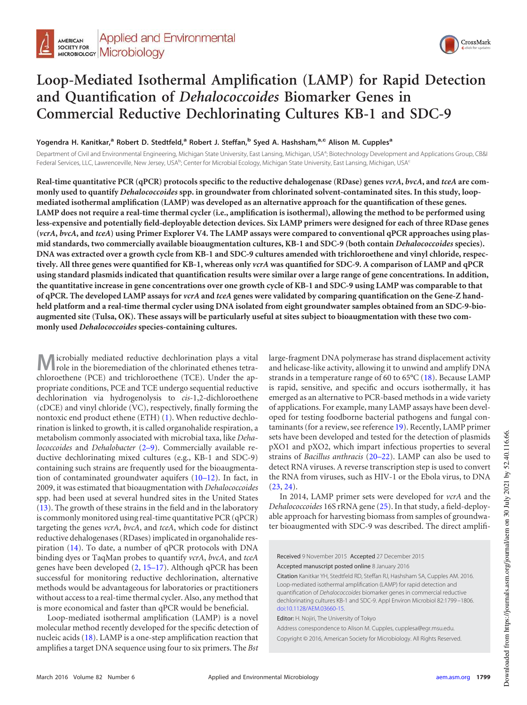

# **Loop-Mediated Isothermal Amplification (LAMP) for Rapid Detection and Quantification of** *Dehalococcoides* **Biomarker Genes in Commercial Reductive Dechlorinating Cultures KB-1 and SDC-9**

**Yogendra H. Kanitkar,<sup>a</sup> Robert D. Stedtfeld,<sup>a</sup> Robert J. Steffan,<sup>b</sup> Syed A. Hashsham,a,c Alison M. Cupples<sup>a</sup>**

Department of Civil and Environmental Engineering, Michigan State University, East Lansing, Michigan, USA<sup>a</sup>; Biotechnology Development and Applications Group, CB&I Federal Services, LLC, Lawrenceville, New Jersey, USA<sup>b</sup>; Center for Microbial Ecology, Michigan State University, East Lansing, Michigan, USA<sup>c</sup>

**Real-time quantitative PCR (qPCR) protocols specific to the reductive dehalogenase (RDase) genes** *vcrA***,** *bvcA***, and** *tceA* **are commonly used to quantify** *Dehalococcoides* **spp. in groundwater from chlorinated solvent-contaminated sites. In this study, loopmediated isothermal amplification (LAMP) was developed as an alternative approach for the quantification of these genes. LAMP does not require a real-time thermal cycler (i.e., amplification is isothermal), allowing the method to be performed using less-expensive and potentially field-deployable detection devices. Six LAMP primers were designed for each of three RDase genes (***vcrA***,** *bvcA***, and** *tceA***) using Primer Explorer V4. The LAMP assays were compared to conventional qPCR approaches using plasmid standards, two commercially available bioaugmentation cultures, KB-1 and SDC-9 (both contain** *Dehalococcoides* **species). DNA was extracted over a growth cycle from KB-1 and SDC-9 cultures amended with trichloroethene and vinyl chloride, respectively. All three genes were quantified for KB-1, whereas only** *vcrA* **was quantified for SDC-9. A comparison of LAMP and qPCR using standard plasmids indicated that quantification results were similar over a large range of gene concentrations. In addition, the quantitative increase in gene concentrations over one growth cycle of KB-1 and SDC-9 using LAMP was comparable to that of qPCR. The developed LAMP assays for** *vcrA* **and** *tceA* **genes were validated by comparing quantification on the Gene-Z handheld platform and a real-time thermal cycler using DNA isolated from eight groundwater samples obtained from an SDC-9-bioaugmented site (Tulsa, OK). These assays will be particularly useful at sites subject to bioaugmentation with these two commonly used** *Dehalococcoides* **species-containing cultures.**

**M** icrobially mediated reductive dechlorination plays a vital role in the bioremediation of the chlorinated ethenes tetrachloroethene (PCE) and trichloroethene (TCE). Under the appropriate conditions, PCE and TCE undergo sequential reductive dechlorination via hydrogenolysis to *cis*-1,2-dichloroethene (cDCE) and vinyl chloride (VC), respectively, finally forming the nontoxic end product ethene (ETH) [\(1\)](#page-5-0). When reductive dechlorination is linked to growth, it is called organohalide respiration, a metabolism commonly associated with microbial taxa, like *Dehalococcoides* and *Dehalobacter* [\(2](#page-6-0)[–](#page-6-1)[9\)](#page-6-2). Commercially available reductive dechlorinating mixed cultures (e.g., KB-1 and SDC-9) containing such strains are frequently used for the bioaugmentation of contaminated groundwater aquifers [\(10](#page-6-3)[–](#page-6-4)[12\)](#page-6-5). In fact, in 2009, it was estimated that bioaugmentation with *Dehalococcoides* spp. had been used at several hundred sites in the United States [\(13\)](#page-6-6). The growth of these strains in the field and in the laboratory is commonly monitored using real-time quantitative PCR (qPCR) targeting the genes *vcrA*, *bvcA*, and *tceA*, which code for distinct reductive dehalogenases (RDases) implicated in organohalide respiration [\(14\)](#page-6-7). To date, a number of qPCR protocols with DNA binding dyes or TaqMan probes to quantify *vcrA*, *bvcA*, and *tceA* genes have been developed [\(2,](#page-6-0) [15](#page-6-8)[–](#page-6-9)[17\)](#page-6-10). Although qPCR has been successful for monitoring reductive dechlorination, alternative methods would be advantageous for laboratories or practitioners without access to a real-time thermal cycler. Also, any method that is more economical and faster than qPCR would be beneficial.

Loop-mediated isothermal amplification (LAMP) is a novel molecular method recently developed for the specific detection of nucleic acids [\(18\)](#page-6-11). LAMP is a one-step amplification reaction that amplifies a target DNA sequence using four to six primers. The *Bst*

large-fragment DNA polymerase has strand displacement activity and helicase-like activity, allowing it to unwind and amplify DNA strands in a temperature range of 60 to  $65^{\circ}$ C [\(18\)](#page-6-11). Because LAMP is rapid, sensitive, and specific and occurs isothermally, it has emerged as an alternative to PCR-based methods in a wide variety of applications. For example, many LAMP assays have been developed for testing foodborne bacterial pathogens and fungal contaminants (for a review, see reference [19\)](#page-6-12). Recently, LAMP primer sets have been developed and tested for the detection of plasmids pXO1 and pXO2, which impart infectious properties to several strains of *Bacillus anthracis* [\(20](#page-6-13)[–](#page-6-14)[22\)](#page-6-15). LAMP can also be used to detect RNA viruses. A reverse transcription step is used to convert the RNA from viruses, such as HIV-1 or the Ebola virus, to DNA  $(23, 24)$  $(23, 24)$  $(23, 24)$ .

In 2014, LAMP primer sets were developed for *vcrA* and the *Dehalococcoides* 16S rRNA gene [\(25\)](#page-6-18). In that study, a field-deployable approach for harvesting biomass from samples of groundwater bioaugmented with SDC-9 was described. The direct amplifi-

Received 9 November 2015 Accepted 27 December 2015

Accepted manuscript posted online 8 January 2016

Citation Kanitkar YH, Stedtfeld RD, Steffan RJ, Hashsham SA, Cupples AM. 2016. Loop-mediated isothermal amplification (LAMP) for rapid detection and quantification of *Dehalococcoides* biomarker genes in commercial reductive dechlorinating cultures KB-1 and SDC-9. Appl Environ Microbiol 82:1799 –1806. doi:10.1128/AEM.03660-15.

Editor: H. Nojiri, The University of Tokyo

Address correspondence to Alison M. Cupples, cupplesa@egr.msu.edu. Copyright © 2016, American Society for Microbiology. All Rights Reserved.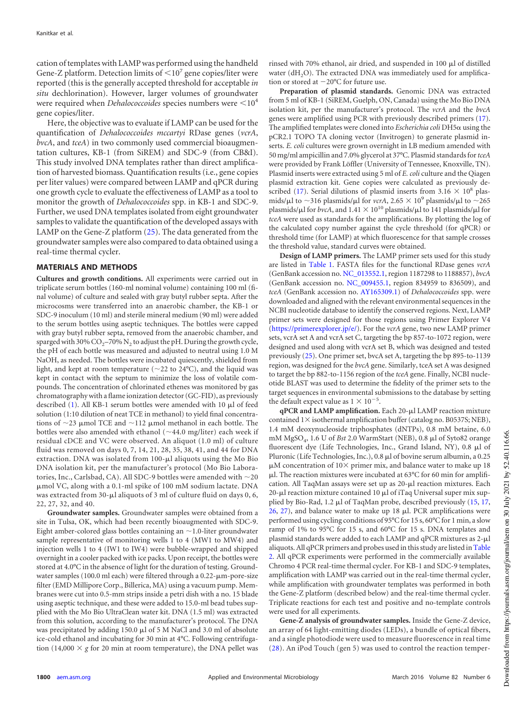cation of templates with LAMP was performed using the handheld Gene-Z platform. Detection limits of  $\leq 10^7$  gene copies/liter were reported (this is the generally accepted threshold for acceptable *in situ* dechlorination). However, larger volumes of groundwater were required when *Dehalococcoides* species numbers were <10<sup>4</sup> gene copies/liter.

Here, the objective was to evaluate if LAMP can be used for the quantification of *Dehalococcoides mccartyi* RDase genes (*vcrA*, *bvcA*, and *tceA*) in two commonly used commercial bioaugmentation cultures, KB-1 (from SiREM) and SDC-9 (from CB&I). This study involved DNA templates rather than direct amplification of harvested biomass. Quantification results (i.e., gene copies per liter values) were compared between LAMP and qPCR during one growth cycle to evaluate the effectiveness of LAMP as a tool to monitor the growth of *Dehalococcoides* spp. in KB-1 and SDC-9. Further, we used DNA templates isolated from eight groundwater samples to validate the quantification of the developed assays with LAMP on the Gene-Z platform [\(25\)](#page-6-18). The data generated from the groundwater samples were also compared to data obtained using a real-time thermal cycler.

#### **MATERIALS AND METHODS**

**Cultures and growth conditions.** All experiments were carried out in triplicate serum bottles (160-ml nominal volume) containing 100 ml (final volume) of culture and sealed with gray butyl rubber septa. After the microcosms were transferred into an anaerobic chamber, the KB-1 or SDC-9 inoculum (10 ml) and sterile mineral medium (90 ml) were added to the serum bottles using aseptic techniques. The bottles were capped with gray butyl rubber septa, removed from the anaerobic chamber, and sparged with 30% CO<sub>2</sub>–70% N<sub>2</sub> to adjust the pH. During the growth cycle, the pH of each bottle was measured and adjusted to neutral using 1.0 M NaOH, as needed. The bottles were incubated quiescently, shielded from light, and kept at room temperature ( $\sim$ 22 to 24 $\degree$ C), and the liquid was kept in contact with the septum to minimize the loss of volatile compounds. The concentration of chlorinated ethenes was monitored by gas chromatography with a flame ionization detector (GC-FID), as previously described [\(1\)](#page-5-0). All KB-1 serum bottles were amended with 10  $\mu$ l of feed solution (1:10 dilution of neat TCE in methanol) to yield final concentrations of  $\sim$ 23 µmol TCE and  $\sim$ 112 µmol methanol in each bottle. The bottles were also amended with ethanol ( $\sim$ 44.0 mg/liter) each week if residual cDCE and VC were observed. An aliquot (1.0 ml) of culture fluid was removed on days 0, 7, 14, 21, 28, 35, 38, 41, and 44 for DNA extraction. DNA was isolated from  $100$ - $\mu$ l aliquots using the Mo Bio DNA isolation kit, per the manufacturer's protocol (Mo Bio Laboratories, Inc., Carlsbad, CA). All SDC-9 bottles were amended with  $\sim$ 20 mol VC, along with a 0.1-ml spike of 100 mM sodium lactate. DNA was extracted from 30- $\mu$ l aliquots of 3 ml of culture fluid on days 0, 6, 22, 27, 32, and 40.

**Groundwater samples.** Groundwater samples were obtained from a site in Tulsa, OK, which had been recently bioaugmented with SDC-9. Eight amber-colored glass bottles containing an  $\sim$  1.0-liter groundwater sample representative of monitoring wells 1 to 4 (MW1 to MW4) and injection wells 1 to 4 (IW1 to IW4) were bubble-wrapped and shipped overnight in a cooler packed with ice packs. Upon receipt, the bottles were stored at 4.0°C in the absence of light for the duration of testing. Groundwater samples (100.0 ml each) were filtered through a  $0.22$ - $\mu$ m-pore-size filter (EMD Millipore Corp., Billerica, MA) using a vacuum pump. Membranes were cut into 0.5-mm strips inside a petri dish with a no. 15 blade using aseptic technique, and these were added to 15.0-ml bead tubes supplied with the Mo Bio UltraClean water kit. DNA (1.5 ml) was extracted from this solution, according to the manufacturer's protocol. The DNA was precipitated by adding 150.0  $\mu$ l of 5 M NaCl and 3.0 ml of absolute ice-cold ethanol and incubating for 30 min at 4°C. Following centrifugation (14,000  $\times$  g for 20 min at room temperature), the DNA pellet was

rinsed with 70% ethanol, air dried, and suspended in 100  $\mu$ l of distilled water  $(dH<sub>2</sub>O)$ . The extracted DNA was immediately used for amplification or stored at  $-20^{\circ}$ C for future use.

**Preparation of plasmid standards.** Genomic DNA was extracted from 5 ml of KB-1 (SiREM, Guelph, ON, Canada) using the Mo Bio DNA isolation kit, per the manufacturer's protocol. The *vcrA* and the *bvcA* genes were amplified using PCR with previously described primers [\(17\)](#page-6-10). The amplified templates were cloned into *Escherichia coli* DH5 $\alpha$  using the pCR2.1 TOPO TA cloning vector (Invitrogen) to generate plasmid inserts. *E. coli* cultures were grown overnight in LB medium amended with 50 mg/ml ampicillin and 7.0% glycerol at 37°C. Plasmid standards for*tceA* were provided by Frank Löffler (University of Tennessee, Knoxville, TN). Plasmid inserts were extracted using 5 ml of *E. coli* culture and the Qiagen plasmid extraction kit. Gene copies were calculated as previously de-scribed [\(17\)](#page-6-10). Serial dilutions of plasmid inserts from  $3.16 \times 10^8$  plasmids/ $\mu$ l to ~316 plasmids/ $\mu$ l for *vcrA*, 2.65  $\times$  10<sup>9</sup> plasmids/ $\mu$ l to ~265 plasmids/ $\mu$ l for *bvcA*, and  $1.41 \times 10^{10}$  plasmids/ $\mu$ l to 141 plasmids/ $\mu$ l for *tceA* were used as standards for the amplifications. By plotting the log of the calculated copy number against the cycle threshold (for qPCR) or threshold time (for LAMP) at which fluorescence for that sample crosses the threshold value, standard curves were obtained.

**Design of LAMP primers.** The LAMP primer sets used for this study are listed in [Table 1.](#page-2-0) FASTA files for the functional RDase genes *vcrA* (GenBank accession no. NC\_013552.1, region 1187298 to 1188857), *bvcA* (GenBank accession no. NC\_009455.1, region 834959 to 836509), and *tceA* (GenBank accession no. AY165309.1) of *Dehalococcoides* spp. were downloaded and aligned with the relevant environmental sequences in the NCBI nucleotide database to identify the conserved regions. Next, LAMP primer sets were designed for those regions using Primer Explorer V4 (https://primerexplorer.jp/e/). For the *vcrA* gene, two new LAMP primer sets, vcrA set A and vcrA set C, targeting the bp 857-to-1072 region, were designed and used along with vcrA set B, which was designed and tested previously [\(25\)](#page-6-18). One primer set, bvcA set A, targeting the bp 895-to-1139 region, was designed for the *bvcA* gene. Similarly, tceA set A was designed to target the bp 882-to-1156 region of the *tceA* gene. Finally, NCBI nucleotide BLAST was used to determine the fidelity of the primer sets to the target sequences in environmental submissions to the database by setting the default expect value as  $1 \times 10^{-5}$ .

qPCR and LAMP amplification. Each 20-µl LAMP reaction mixture contained  $1 \times$  isothermal amplification buffer (catalog no. B0537S; NEB), 1.4 mM deoxynucleoside triphosphates (dNTPs), 0.8 mM betaine, 6.0 mM MgSO<sub>4</sub>, 1.6 U of *Bst* 2.0 WarmStart (NEB), 0.8 µl of Syto82 orange fluorescent dye (Life Technologies, Inc., Grand Island, NY), 0.8 µl of Pluronic (Life Technologies, Inc.),  $0.8 \mu$ l of bovine serum albumin, a 0.25  $\mu$ M concentration of 10 $\times$  primer mix, and balance water to make up 18 l. The reaction mixtures were incubated at 63°C for 60 min for amplification. All TaqMan assays were set up as  $20$ - $\mu$ l reaction mixtures. Each 20-µl reaction mixture contained 10 µl of iTaq Universal super mix supplied by Bio-Rad, 1.2  $\mu$ l of TaqMan probe, described previously [\(15,](#page-6-8) [17,](#page-6-10)  $26$ ,  $27$ ), and balance water to make up 18  $\mu$ l. PCR amplifications were performed using cycling conditions of 95°C for 15 s, 60°C for 1 min, a slow ramp of 1% to 95°C for 15 s, and 60°C for 15 s. DNA templates and plasmid standards were added to each LAMP and qPCR mixtures as  $2-\mu l$ aliquots. All qPCR primers and probes used in this study are listed in [Table](#page-2-1) [2.](#page-2-1) All qPCR experiments were performed in the commercially available Chromo 4 PCR real-time thermal cycler. For KB-1 and SDC-9 templates, amplification with LAMP was carried out in the real-time thermal cycler, while amplification with groundwater templates was performed in both the Gene-Z platform (described below) and the real-time thermal cycler. Triplicate reactions for each test and positive and no-template controls were used for all experiments.

**Gene-Z analysis of groundwater samples.** Inside the Gene-Z device, an array of 64 light-emitting diodes (LEDs), a bundle of optical fibers, and a single photodiode were used to measure fluorescence in real time [\(28\)](#page-6-21). An iPod Touch (gen 5) was used to control the reaction temper-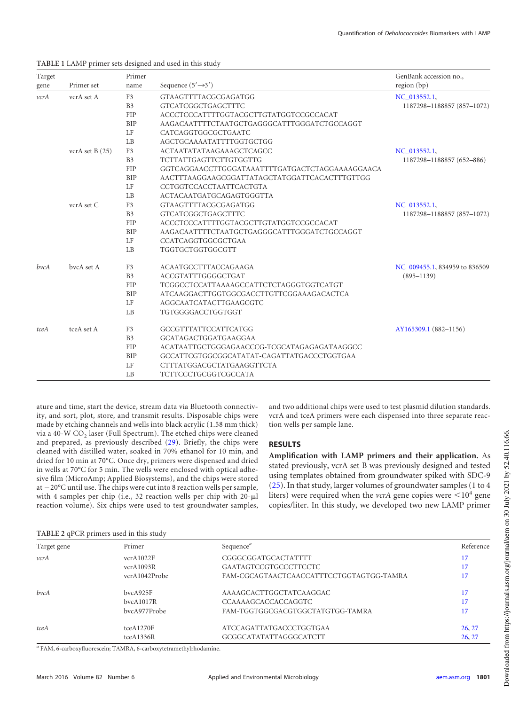| Target<br>gene | Primer set        | Primer<br>name | Sequence $(5' \rightarrow 3')$                  | GenBank accession no.,<br>region (bp) |
|----------------|-------------------|----------------|-------------------------------------------------|---------------------------------------|
| vcrA           | vcrA set A        | F <sub>3</sub> | GTAAGTTTTACGCGAGATGG                            | NC_013552.1,                          |
|                |                   | B <sub>3</sub> | <b>GTCATCGGCTGAGCTTTC</b>                       | 1187298-1188857 (857-1072)            |
|                |                   | <b>FIP</b>     | ACCCTCCCATTTTGGTACGCTTGTATGGTCCGCCACAT          |                                       |
|                |                   | <b>BIP</b>     | AAGACAATTTTCTAATGCTGAGGGCATTTGGGATCTGCCAGGT     |                                       |
|                |                   | LF             | CATCAGGTGGCGCTGAATC                             |                                       |
|                |                   | L <sub>B</sub> | AGCTGCAAAATATTTTGGTGCTGG                        |                                       |
|                | vcrA set B $(25)$ | F <sub>3</sub> | <b>ACTAATATATAAGAAAGCTCAGCC</b>                 | NC_013552.1,                          |
|                |                   | B <sub>3</sub> | TCTTATTGAGTTCTTGTGGTTG                          | 1187298-1188857 (652-886)             |
|                |                   | <b>FIP</b>     | GGTCAGGAACCTTGGGATAAATTTTGATGACTCTAGGAAAAGGAACA |                                       |
|                |                   | <b>BIP</b>     | AACTTTAAGGAAGCGGATTATAGCTATGGATTCACACTTTGTTGG   |                                       |
|                |                   | LF             | CCTGGTCCACCTAATTCACTGTA                         |                                       |
|                |                   | LB             | ACTACAATGATGCAGAGTGGGTTA                        |                                       |
|                | vcrA set C        | F <sub>3</sub> | GTAAGTTTTACGCGAGATGG                            | NC_013552.1,                          |
|                |                   | B <sub>3</sub> | <b>GTCATCGGCTGAGCTTTC</b>                       | 1187298-1188857 (857-1072)            |
|                |                   | <b>FIP</b>     | ACCCTCCCATTTTGGTACGCTTGTATGGTCCGCCACAT          |                                       |
|                |                   | <b>BIP</b>     | AAGACAATTTTCTAATGCTGAGGGCATTTGGGATCTGCCAGGT     |                                       |
|                |                   | LF             | CCATCAGGTGGCGCTGAA                              |                                       |
|                |                   | LB             | TGGTGCTGGTGGCGTT                                |                                       |
| bvcA           | bycA set A        | F <sub>3</sub> | <b>ACAATGCCTTTACCAGAAGA</b>                     | NC_009455.1, 834959 to 836509         |
|                |                   | B <sub>3</sub> | ACCGTATTTGGGGCTGAT                              | $(895 - 1139)$                        |
|                |                   | <b>FIP</b>     | TCGGCCTCCATTAAAAGCCATTCTCTAGGGTGGTCATGT         |                                       |
|                |                   | <b>BIP</b>     | ATCAAGGACTTGGTGGCGACCTTGTTCGGAAAGACACTCA        |                                       |
|                |                   | LF             | AGGCAATCATACTTGAAGCGTC                          |                                       |
|                |                   | LB             | TGTGGGGACCTGGTGGT                               |                                       |
| tceA           | tceA set A        | F <sub>3</sub> | GCCGTTTATTCCATTCATGG                            | AY165309.1 (882-1156)                 |
|                |                   | B <sub>3</sub> | GCATAGACTGGATGAAGGAA                            |                                       |
|                |                   | <b>FIP</b>     | ACATAATTGCTGGGAGAACCCG-TCGCATAGAGAGATAAGGCC     |                                       |
|                |                   | <b>BIP</b>     | GCCATTCGTGGCGGCATATAT-CAGATTATGACCCTGGTGAA      |                                       |
|                |                   | LF             | CTTTATGGACGCTATGAAGGTTCTA                       |                                       |
|                |                   | LB             | <b>TCTTCCCTGCGGTCGCCATA</b>                     |                                       |

#### <span id="page-2-0"></span>**TABLE 1** LAMP primer sets designed and used in this study

ature and time, start the device, stream data via Bluetooth connectivity, and sort, plot, store, and transmit results. Disposable chips were made by etching channels and wells into black acrylic (1.58 mm thick) via a 40-W CO<sub>2</sub> laser (Full Spectrum). The etched chips were cleaned and prepared, as previously described [\(29\)](#page-6-22). Briefly, the chips were cleaned with distilled water, soaked in 70% ethanol for 10 min, and dried for 10 min at 70°C. Once dry, primers were dispensed and dried in wells at 70°C for 5 min. The wells were enclosed with optical adhesive film (MicroAmp; Applied Biosystems), and the chips were stored at  $-20^{\circ}$ C until use. The chips were cut into 8 reaction wells per sample, with 4 samples per chip (i.e., 32 reaction wells per chip with  $20-\mu l$ reaction volume). Six chips were used to test groundwater samples,

and two additional chips were used to test plasmid dilution standards. vcrA and tceA primers were each dispensed into three separate reaction wells per sample lane.

# **RESULTS**

**Amplification with LAMP primers and their application.** As stated previously, vcrA set B was previously designed and tested using templates obtained from groundwater spiked with SDC-9 [\(25\)](#page-6-18). In that study, larger volumes of groundwater samples (1 to 4 liters) were required when the *vcrA* gene copies were  $\leq 10^4$  gene copies/liter. In this study, we developed two new LAMP primer

#### <span id="page-2-1"></span>**TABLE 2** qPCR primers used in this study

| Target gene | Primer        | Sequence <sup><i>a</i></sup>             | Reference |
|-------------|---------------|------------------------------------------|-----------|
| vcrA        | vcrA1022F     | CGGGCGGATGCACTATTTT                      | 17        |
|             | vcrA1093R     | GAATAGTCCGTGCCCTTCCTC                    | 17        |
|             | vcrA1042Probe | FAM-CGCAGTAACTCAACCATTTCCTGGTAGTGG-TAMRA | 17        |
| bvcA        | bvcA925F      | AAAAGCACTTGGCTATCAAGGAC                  | 17        |
|             | bvcA1017R     | CCAAAAGCACCACCAGGTC                      | 17        |
|             | bycA977Probe  | FAM-TGGTGGCGACGTGGCTATGTGG-TAMRA         |           |
| tceA        | tceA1270F     | ATCCAGATTATGACCCTGGTGAA                  | 26, 27    |
|             | tceA1336R     | GCGGCATATATTAGGGCATCTT                   | 26, 27    |

*a* FAM, 6-carboxyfluorescein; TAMRA, 6-carboxytetramethylrhodamine.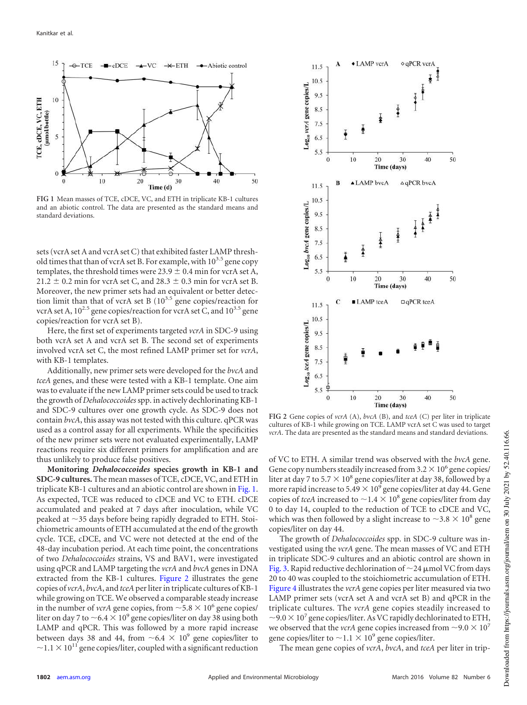

<span id="page-3-0"></span>**FIG 1** Mean masses of TCE, cDCE, VC, and ETH in triplicate KB-1 cultures and an abiotic control. The data are presented as the standard means and standard deviations.

sets (vcrA set A and vcrA set C) that exhibited faster LAMP threshold times that than of vcrA set B. For example, with  $10^{3.5}$  gene copy templates, the threshold times were  $23.9 \pm 0.4$  min for vcrA set A,  $21.2 \pm 0.2$  min for vcrA set C, and  $28.3 \pm 0.3$  min for vcrA set B. Moreover, the new primer sets had an equivalent or better detection limit than that of vcrA set B  $(10^{3.5}$  gene copies/reaction for vcrA set A,  $10^{2.5}$  gene copies/reaction for vcrA set C, and  $10^{3.5}$  gene copies/reaction for vcrA set B).

Here, the first set of experiments targeted *vcrA* in SDC-9 using both vcrA set A and vcrA set B. The second set of experiments involved vcrA set C, the most refined LAMP primer set for *vcrA*, with KB-1 templates.

Additionally, new primer sets were developed for the *bvcA* and *tceA* genes, and these were tested with a KB-1 template. One aim was to evaluate if the new LAMP primer sets could be used to track the growth of *Dehalococcoides*spp. in actively dechlorinating KB-1 and SDC-9 cultures over one growth cycle. As SDC-9 does not contain *bvcA*, this assay was not tested with this culture. qPCR was used as a control assay for all experiments. While the specificities of the new primer sets were not evaluated experimentally, LAMP reactions require six different primers for amplification and are thus unlikely to produce false positives.

**Monitoring** *Dehalococcoides* **species growth in KB-1 and SDC-9 cultures.** The mean masses of TCE, cDCE, VC, and ETH in triplicate KB-1 cultures and an abiotic control are shown in [Fig. 1.](#page-3-0) As expected, TCE was reduced to cDCE and VC to ETH. cDCE accumulated and peaked at 7 days after inoculation, while VC peaked at  $\sim$ 35 days before being rapidly degraded to ETH. Stoichiometric amounts of ETH accumulated at the end of the growth cycle. TCE, cDCE, and VC were not detected at the end of the 48-day incubation period. At each time point, the concentrations of two *Dehalococcoides* strains, VS and BAV1, were investigated using qPCR and LAMP targeting the *vcrA* and *bvcA* genes in DNA extracted from the KB-1 cultures. [Figure 2](#page-3-1) illustrates the gene copies of *vcrA*, *bvcA*, and *tceA*per liter in triplicate cultures of KB-1 while growing on TCE. We observed a comparable steady increase in the number of *vcrA* gene copies, from  $\sim 5.8 \times 10^6$  gene copies/ liter on day 7 to  $\sim$  6.4  $\times$  10<sup>9</sup> gene copies/liter on day 38 using both LAMP and qPCR. This was followed by a more rapid increase between days 38 and 44, from  $~6.4 \times 10^9$  gene copies/liter to  $\sim$ 1.1  $\times$  10<sup>11</sup> gene copies/liter, coupled with a significant reduction



<span id="page-3-1"></span>**FIG 2** Gene copies of *vcrA* (A), *bvcA* (B), and *tceA* (C) per liter in triplicate cultures of KB-1 while growing on TCE. LAMP vcrA set C was used to target *vcrA*. The data are presented as the standard means and standard deviations.

of VC to ETH. A similar trend was observed with the *bvcA* gene. Gene copy numbers steadily increased from  $3.2 \times 10^6$  gene copies/ liter at day 7 to 5.7  $\times$  10<sup>8</sup> gene copies/liter at day 38, followed by a more rapid increase to 5.49  $\times$  10<sup>9</sup> gene copies/liter at day 44. Gene copies of *tceA* increased to  $\sim$  1.4  $\times$  10<sup>8</sup> gene copies/liter from day 0 to day 14, coupled to the reduction of TCE to cDCE and VC, which was then followed by a slight increase to  $\sim$ 3.8  $\times$  10<sup>8</sup> gene copies/liter on day 44.

The growth of *Dehalococcoides* spp. in SDC-9 culture was investigated using the *vcrA* gene. The mean masses of VC and ETH in triplicate SDC-9 cultures and an abiotic control are shown in [Fig. 3.](#page-4-0) Rapid reductive dechlorination of  $\sim$  24 µmol VC from days 20 to 40 was coupled to the stoichiometric accumulation of ETH. [Figure 4](#page-4-1) illustrates the *vcrA* gene copies per liter measured via two LAMP primer sets (vcrA set A and vcrA set B) and qPCR in the triplicate cultures. The *vcrA* gene copies steadily increased to  $\sim$ 9.0  $\times$  10<sup>7</sup> gene copies/liter. As VC rapidly dechlorinated to ETH, we observed that the *vcrA* gene copies increased from  $\sim$ 9.0  $\times$  10<sup>7</sup> gene copies/liter to  $\sim$ 1.1  $\times$  10<sup>9</sup> gene copies/liter.

The mean gene copies of *vcrA*, *bvcA*, and *tceA* per liter in trip-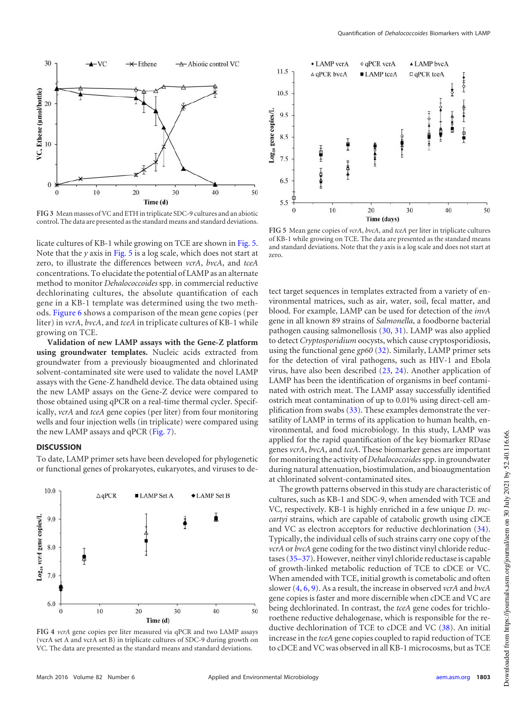

<span id="page-4-0"></span>**FIG 3** Mean masses of VC and ETH in triplicate SDC-9 cultures and an abiotic control. The data are presented as the standard means and standard deviations.

licate cultures of KB-1 while growing on TCE are shown in [Fig. 5.](#page-4-2) Note that the *y* axis in [Fig. 5](#page-4-2) is a log scale, which does not start at zero, to illustrate the differences between *vcrA*, *bvcA*, and *tceA* concentrations. To elucidate the potential of LAMP as an alternate method to monitor *Dehalococcoides* spp. in commercial reductive dechlorinating cultures, the absolute quantification of each gene in a KB-1 template was determined using the two methods. [Figure 6](#page-5-1) shows a comparison of the mean gene copies (per liter) in *vcrA*, *bvcA*, and *tceA* in triplicate cultures of KB-1 while growing on TCE.

**Validation of new LAMP assays with the Gene-Z platform using groundwater templates.** Nucleic acids extracted from groundwater from a previously bioaugmented and chlorinated solvent-contaminated site were used to validate the novel LAMP assays with the Gene-Z handheld device. The data obtained using the new LAMP assays on the Gene-Z device were compared to those obtained using qPCR on a real-time thermal cycler. Specifically, *vcrA* and *tceA* gene copies (per liter) from four monitoring wells and four injection wells (in triplicate) were compared using the new LAMP assays and qPCR [\(Fig. 7\)](#page-5-2).

## **DISCUSSION**

To date, LAMP primer sets have been developed for phylogenetic or functional genes of prokaryotes, eukaryotes, and viruses to de-



<span id="page-4-1"></span>



<span id="page-4-2"></span>**FIG 5** Mean gene copies of *vcrA*, *bvcA*, and *tceA* per liter in triplicate cultures of KB-1 while growing on TCE. The data are presented as the standard means and standard deviations. Note that the *y* axis is a log scale and does not start at zero.

tect target sequences in templates extracted from a variety of environmental matrices, such as air, water, soil, fecal matter, and blood. For example, LAMP can be used for detection of the *invA* gene in all known 89 strains of *Salmonella*, a foodborne bacterial pathogen causing salmonellosis [\(30,](#page-6-23) [31\)](#page-6-24). LAMP was also applied to detect *Cryptosporidium* oocysts, which cause cryptosporidiosis, using the functional gene *gp60* [\(32\)](#page-6-25). Similarly, LAMP primer sets for the detection of viral pathogens, such as HIV-1 and Ebola virus, have also been described [\(23,](#page-6-16) [24\)](#page-6-17). Another application of LAMP has been the identification of organisms in beef contaminated with ostrich meat. The LAMP assay successfully identified ostrich meat contamination of up to 0.01% using direct-cell amplification from swabs [\(33\)](#page-6-26). These examples demonstrate the versatility of LAMP in terms of its application to human health, environmental, and food microbiology. In this study, LAMP was applied for the rapid quantification of the key biomarker RDase genes *vcrA*, *bvcA*, and *tceA*. These biomarker genes are important for monitoring the activity of *Dehalococcoides*spp. in groundwater during natural attenuation, biostimulation, and bioaugmentation at chlorinated solvent-contaminated sites.

The growth patterns observed in this study are characteristic of cultures, such as KB-1 and SDC-9, when amended with TCE and VC, respectively. KB-1 is highly enriched in a few unique *D. mccartyi* strains, which are capable of catabolic growth using cDCE and VC as electron acceptors for reductive dechlorination [\(34\)](#page-6-27). Typically, the individual cells of such strains carry one copy of the *vcrA* or *bvcA* gene coding for the two distinct vinyl chloride reductases [\(35](#page-6-28)[–](#page-6-29)[37\)](#page-7-0). However, neither vinyl chloride reductase is capable of growth-linked metabolic reduction of TCE to cDCE or VC. When amended with TCE, initial growth is cometabolic and often slower [\(4,](#page-6-30) [6,](#page-6-31) [9\)](#page-6-2). As a result, the increase in observed *vcrA* and *bvcA* gene copies is faster and more discernible when cDCE and VC are being dechlorinated. In contrast, the *tceA* gene codes for trichloroethene reductive dehalogenase, which is responsible for the reductive dechlorination of TCE to cDCE and VC [\(38\)](#page-7-1). An initial increase in the *tceA* gene copies coupled to rapid reduction of TCE to cDCE and VC was observed in all KB-1 microcosms, but as TCE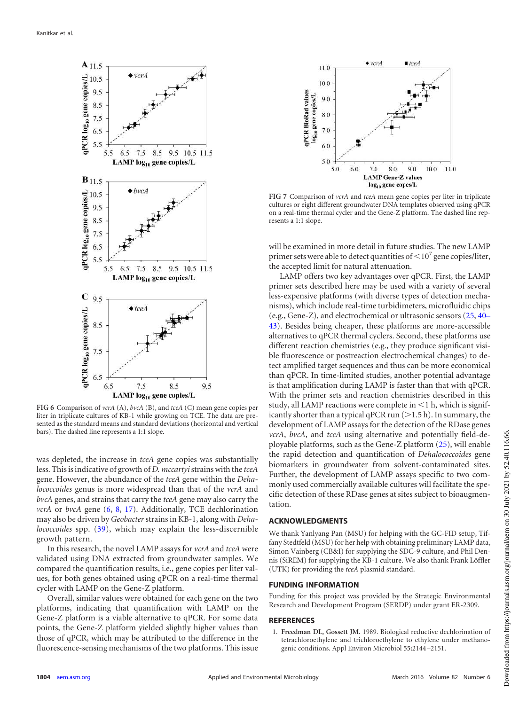

<span id="page-5-1"></span>**FIG 6** Comparison of *vcrA* (A), *bvcA* (B), and *tceA* (C) mean gene copies per liter in triplicate cultures of KB-1 while growing on TCE. The data are presented as the standard means and standard deviations (horizontal and vertical bars). The dashed line represents a 1:1 slope.

was depleted, the increase in *tceA* gene copies was substantially less. This is indicative of growth of *D. mccartyi*strains with the *tceA* gene. However, the abundance of the *tceA* gene within the *Dehalococcoides* genus is more widespread than that of the *vcrA* and *bvcA* genes, and strains that carry the *tceA* gene may also carry the *vcrA* or *bvcA* gene [\(6,](#page-6-31) [8,](#page-6-1) [17\)](#page-6-10). Additionally, TCE dechlorination may also be driven by *Geobacter* strains in KB-1, along with *Dehalococcoides* spp. [\(39\)](#page-7-2), which may explain the less-discernible growth pattern.

In this research, the novel LAMP assays for *vcrA* and *tceA* were validated using DNA extracted from groundwater samples. We compared the quantification results, i.e., gene copies per liter values, for both genes obtained using qPCR on a real-time thermal cycler with LAMP on the Gene-Z platform.

Overall, similar values were obtained for each gene on the two platforms, indicating that quantification with LAMP on the Gene-Z platform is a viable alternative to qPCR. For some data points, the Gene-Z platform yielded slightly higher values than those of qPCR, which may be attributed to the difference in the fluorescence-sensing mechanisms of the two platforms. This issue



<span id="page-5-2"></span>**FIG 7** Comparison of *vcrA* and *tceA* mean gene copies per liter in triplicate cultures or eight different groundwater DNA templates observed using qPCR on a real-time thermal cycler and the Gene-Z platform. The dashed line represents a 1:1 slope.

will be examined in more detail in future studies. The new LAMP primer sets were able to detect quantities of  $\leq$  10<sup>7</sup> gene copies/liter, the accepted limit for natural attenuation.

LAMP offers two key advantages over qPCR. First, the LAMP primer sets described here may be used with a variety of several less-expensive platforms (with diverse types of detection mechanisms), which include real-time turbidimeters, microfluidic chips (e.g., Gene-Z), and electrochemical or ultrasonic sensors [\(25,](#page-6-18) [40](#page-7-3)[–](#page-7-4) [43\)](#page-7-5). Besides being cheaper, these platforms are more-accessible alternatives to qPCR thermal cyclers. Second, these platforms use different reaction chemistries (e.g., they produce significant visible fluorescence or postreaction electrochemical changes) to detect amplified target sequences and thus can be more economical than qPCR. In time-limited studies, another potential advantage is that amplification during LAMP is faster than that with qPCR. With the primer sets and reaction chemistries described in this study, all LAMP reactions were complete in  $\leq$  1 h, which is significantly shorter than a typical qPCR run  $(>1.5 h)$ . In summary, the development of LAMP assays for the detection of the RDase genes *vcrA*, *bvcA*, and *tceA* using alternative and potentially field-deployable platforms, such as the Gene-Z platform [\(25\)](#page-6-18), will enable the rapid detection and quantification of *Dehalococcoides* gene biomarkers in groundwater from solvent-contaminated sites. Further, the development of LAMP assays specific to two commonly used commercially available cultures will facilitate the specific detection of these RDase genes at sites subject to bioaugmentation.

## **ACKNOWLEDGMENTS**

We thank Yanlyang Pan (MSU) for helping with the GC-FID setup, Tiffany Stedtfeld (MSU) for her help with obtaining preliminary LAMP data, Simon Vainberg (CB&I) for supplying the SDC-9 culture, and Phil Dennis (SiREM) for supplying the KB-1 culture. We also thank Frank Löffler (UTK) for providing the *tceA* plasmid standard.

#### **FUNDING INFORMATION**

Funding for this project was provided by the Strategic Environmental Research and Development Program (SERDP) under grant ER-2309.

## <span id="page-5-0"></span>**REFERENCES**

1. **Freedman DL, Gossett JM.** 1989. Biological reductive dechlorination of tetrachloroethylene and trichloroethylene to ethylene under methanogenic conditions. Appl Environ Microbiol **55:**2144 –2151.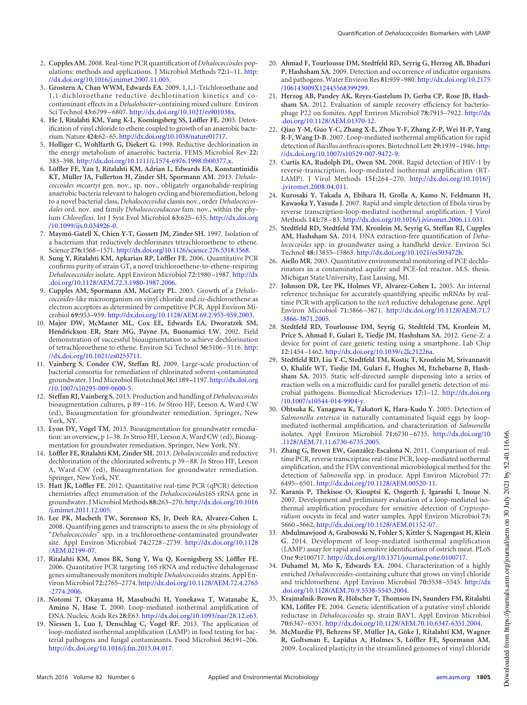- <span id="page-6-0"></span>2. **Cupples AM.** 2008. Real-time PCR quantification of *Dehalococcoides* populations: methods and applications. J Microbiol Methods **72:**1–11. http: //dx.doi.org/10.1016/j.mimet.2007.11.005.
- 3. **Grostern A, Chan WWM, Edwards EA.** 2009. 1,1,1-Trichloroethane and 1,1-dichloroethane reductive dechlorination kinetics and cocontaminant effects in a *Dehalobacter*-containing mixed culture. Environ Sci Technol **43:**6799 – 6807. http://dx.doi.org/10.1021/es901038x.
- <span id="page-6-30"></span>4. **He J, Ritalahti KM, Yang K-L, Koeningsberg SS, Löffler FE.** 2003. Detoxification of vinyl chloride to ethene coupled to growth of an anaerobic bacterium. Nature **424:**62–65. http://dx.doi.org/10.1038/nature01717.
- 5. **Holliger C, Wohlfarth G, Diekert G.** 1998. Reductive dechlorination in the energy metabolism of anaerobic bacteria. FEMS Microbiol Rev **22:** 383–398. http://dx.doi.org/10.1111/j.1574-6976.1998.tb00377.x.
- <span id="page-6-31"></span>6. **Löffler FE, Yan J, Ritalahti KM, Adrian L, Edwards EA, Konstantinidis KT, Müller JA, Fullerton H, Zinder SH, Spormann AM.** 2013. *Dehalococcoides mccartyi* gen. nov., sp. nov., obligately organohalide-respiring anaerobic bacteria relevant to halogen cycling and bioremediation, belong to a novel bacterial class, *Dehalococcoidia* classis nov., order *Dehalococcoidales* ord. nov. and family *Dehalococcoidaceae* fam. nov., within the phylum *Chloroflexi*. Int J Syst Evol Microbiol **63:**625– 635. http://dx.doi.org /10.1099/ijs.0.034926-0.
- 7. **Maymó-Gatell X, Chien Y-T, Gossett JM, Zinder SH.** 1997. Isolation of a bacterium that reductively dechlorinates tetrachloroethene to ethene. Science **276:**1568–1571. http://dx.doi.org/10.1126/science.276.5318.1568.
- <span id="page-6-1"></span>8. **Sung Y, Ritalahti KM, Apkarian RP, Löffler FE.** 2006. Quantitative PCR confirms purity of strain GT, a novel trichloroethene-to-ethene-respiring *Dehalococcoides* isolate. Appl Environ Microbiol **72:**1980 –1987. http://dx .doi.org/10.1128/AEM.72.3.1980-1987.2006.
- <span id="page-6-2"></span>9. **Cupples AM, Spormann AM, McCarty PL.** 2003. Growth of a *Dehalococcoides*-like microorganism on vinyl chloride and *cis*-dichloroethene as electron acceptors as determined by competitive PCR. Appl Environ Microbiol **69:**953–959. http://dx.doi.org/10.1128/AEM.69.2.953-959.2003.
- <span id="page-6-3"></span>10. **Major DW, McMaster ML, Cox EE, Edwards EA, Dworatzek SM, Hendrickson ER, Starr MG, Payne JA, Buonamici LW.** 2002. Field demonstration of successful bioaugmentation to achieve dechlorination of tetrachloroethene to ethene. Environ Sci Technol **36:**5106 –5116. http: //dx.doi.org/10.1021/es0255711.
- <span id="page-6-4"></span>11. **Vainberg S, Condee CW, Steffan RJ.** 2009. Large-scale production of bacterial consortia for remediation of chlorinated solvent-contaminated groundwater. J Ind Microbiol Biotechnol **36:**1189 –1197. http://dx.doi.org /10.1007/s10295-009-0600-5.
- <span id="page-6-5"></span>12. **Steffan RJ, Vainberg S.** 2013. Production and handling of *Dehalococcoides* bioaugmentation cultures, p 89 –116. *In* Stroo HF, Leeson A, Ward CW (ed), Bioaugmentation for groundwater remediation. Springer, New York, NY.
- <span id="page-6-7"></span><span id="page-6-6"></span>13. **Lyon DY, Vogel TM.** 2013. Bioaugmentation for groundwater remediation: an overview, p 1–38. *In* Stroo HF, Leeson A, Ward CW (ed), Bioaugmentation for groundwater remediation. Springer, New York, NY.
- 14. **Löffler FE, Ritalahti KM, Zinder SH.** 2013. *Dehalococcoides* and reductive dechlorination of the chlorinated solvents, p 39 – 88. *In* Stroo HF, Leeson A, Ward CW (ed), Bioaugmentation for groundwater remediation. Springer, New York, NY.
- <span id="page-6-8"></span>15. **Hatt JK, Löffler FE.** 2012. Quantitative real-time PCR (qPCR) detection chemistries affect enumeration of the *Dehalococcoides*16S rRNA gene in groundwater. J Microbiol Methods **88:**263–270. http://dx.doi.org/10.1016 /j.mimet.2011.12.005.
- <span id="page-6-9"></span>16. **Lee PK, Macbeth TW, Sorenson KS, Jr, Deeb RA, Alvarez-Cohen L.** 2008. Quantifying genes and transcripts to assess the *in situ* physiology of "*Dehalococcoides*" spp. in a trichloroethene-contaminated groundwater site. Appl Environ Microbiol **74:**2728 –2739. http://dx.doi.org/10.1128 /AEM.02199-07.
- <span id="page-6-10"></span>17. **Ritalahti KM, Amos BK, Sung Y, Wu Q, Koenigsberg SS, Löffler FE.** 2006. Quantitative PCR targeting 16S rRNA and reductive dehalogenase genes simultaneously monitors multiple *Dehalococcoides*strains. Appl Environ Microbiol **72:**2765–2774. http://dx.doi.org/10.1128/AEM.72.4.2765 -2774.2006.
- <span id="page-6-12"></span><span id="page-6-11"></span>18. **Notomi T, Okayama H, Masubuchi H, Yonekawa T, Watanabe K, Amino N, Hase T.** 2000. Loop-mediated isothermal amplification of DNA. Nucleic Acids Res **28:**E63. http://dx.doi.org/10.1093/nar/28.12.e63.
- 19. **Niessen L, Luo J, Denschlag C, Vogel RF.** 2013. The application of loop-mediated isothermal amplification (LAMP) in food testing for bacterial pathogens and fungal contaminants. Food Microbiol **36:**191–206. http://dx.doi.org/10.1016/j.fm.2013.04.017.
- <span id="page-6-13"></span>20. **Ahmad F, Tourlousse DM, Stedtfeld RD, Seyrig G, Herzog AB, Bhaduri P, Hashsham SA.** 2009. Detection and occurrence of indicator organisms and pathogens. Water Environ Res **81:**959 –980. http://dx.doi.org/10.2175 /106143009X12445568399299.
- <span id="page-6-14"></span>21. **Herzog AB, Pandey AK, Reyes-Gastelum D, Gerba CP, Rose JB, Hashsham SA.** 2012. Evaluation of sample recovery efficiency for bacteriophage P22 on fomites. Appl Environ Microbiol **78:**7915–7922. http://dx .doi.org/10.1128/AEM.01370-12.
- <span id="page-6-15"></span>22. **Qiao Y-M, Guo Y-C, Zhang X-E, Zhou Y-F, Zhang Z-P, Wei H-P, Yang R-F, Wang D-B.** 2007. Loop-mediated isothermal amplification for rapid detection of *Bacillus anthracis*spores. Biotechnol Lett **29:**1939 –1946. http: //dx.doi.org/10.1007/s10529-007-9472-9.
- <span id="page-6-16"></span>23. **Curtis KA, Rudolph DL, Owen SM.** 2008. Rapid detection of HIV-1 by reverse-transcription, loop-mediated isothermal amplification (RT-LAMP). J Virol Methods **151:**264 –270. http://dx.doi.org/10.1016/j .jviromet.2008.04.011.
- <span id="page-6-17"></span>24. **Kurosaki Y, Takada A, Ebihara H, Grolla A, Kamo N, Feldmann H, Kawaoka Y, Yasuda J.** 2007. Rapid and simple detection of Ebola virus by reverse transcription-loop-mediated isothermal amplification. J Virol Methods **141:**78 – 83. http://dx.doi.org/10.1016/j.jviromet.2006.11.031.
- <span id="page-6-18"></span>25. **Stedtfeld RD, Stedtfeld TM, Kronlein M, Seyrig G, Steffan RJ, Cupples AM, Hashsham SA.** 2014. DNA extraction-free quantification of *Dehalococcoides* spp. in groundwater using a handheld device. Environ Sci Technol **48:**13855–13863. http://dx.doi.org/10.1021/es503472h.
- <span id="page-6-19"></span>26. **Aiello MR.** 2003. Quantitative environmental monitoring of PCE dechlorinators in a contaminated aquifer and PCE-fed reactor. M.S. thesis. Michigan State University, East Lansing, MI.
- <span id="page-6-20"></span>27. **Johnson DR, Lee PK, Holmes VF, Alvarez-Cohen L.** 2005. An internal reference technique for accurately quantifying specific mRNAs by realtime PCR with application to the *tceA* reductive dehalogenase gene. Appl Environ Microbiol **71:**3866 –3871. http://dx.doi.org/10.1128/AEM.71.7 .3866-3871.2005.
- <span id="page-6-21"></span>28. **Stedtfeld RD, Tourlousse DM, Seyrig G, Stedtfeld TM, Kronlein M, Price S, Ahmad F, Gulari E, Tiedje JM, Hashsham SA.** 2012. Gene-Z: a device for point of care genetic testing using a smartphone. Lab Chip **12:**1454 –1462. http://dx.doi.org/10.1039/c2lc21226a.
- <span id="page-6-22"></span>29. **Stedtfeld RD, Liu Y-C, Stedtfeld TM, Kostic T, Kronlein M, Srivannavit O, Khalife WT, Tiedje JM, Gulari E, Hughes M, Etchebarne B, Hashsham SA.** 2015. Static self-directed sample dispensing into a series of reaction wells on a microfluidic card for parallel genetic detection of microbial pathogens. Biomedical Microdevices **17:**1–12. http://dx.doi.org /10.1007/s10544-014-9904-y.
- <span id="page-6-23"></span>30. **Ohtsuka K, Yanagawa K, Takatori K, Hara-Kudo Y.** 2005. Detection of *Salmonella enterica* in naturally contaminated liquid eggs by loopmediated isothermal amplification, and characterization of *Salmonella* isolates. Appl Environ Microbiol **71:**6730 – 6735. http://dx.doi.org/10 .1128/AEM.71.11.6730-6735.2005.
- <span id="page-6-24"></span>31. **Zhang G, Brown EW, González-Escalona N.** 2011. Comparison of realtime PCR, reverse transcriptase real-time PCR, loop-mediated isothermal amplification, and the FDA conventional microbiological method for the detection of *Salmonella* spp. in produce. Appl Environ Microbiol **77:** 6495– 6501. http://dx.doi.org/10.1128/AEM.00520-11.
- <span id="page-6-25"></span>32. **Karanis P, Thekisoe O, Kiouptsi K, Ongerth J, Igarashi I, Inoue N.** 2007. Development and preliminary evaluation of a loop-mediated isothermal amplification procedure for sensitive detection of *Cryptosporidium* oocysts in fecal and water samples. Appl Environ Microbiol **73:** 5660 –5662. http://dx.doi.org/10.1128/AEM.01152-07.
- <span id="page-6-26"></span>33. **Abdulmawjood A, Grabowski N, Fohler S, Kittler S, Nagengast H, Klein G.** 2014. Development of loop-mediated isothermal amplification (LAMP) assay for rapid and sensitive identification of ostrich meat. PLoS One **9:**e100717. http://dx.doi.org/10.1371/journal.pone.0100717.
- <span id="page-6-27"></span>34. **Duhamel M, Mo K, Edwards EA.** 2004. Characterization of a highly enriched *Dehalococcoides*-containing culture that grows on vinyl chloride and trichloroethene. Appl Environ Microbiol **70:**5538 –5545. http://dx .doi.org/10.1128/AEM.70.9.5538-5545.2004.
- <span id="page-6-28"></span>35. **Krajmalnik-Brown R, Hölscher T, Thomson IN, Saunders FM, Ritalahti KM, Löffler FE.** 2004. Genetic identification of a putative vinyl chloride reductase in *Dehalococcoides* sp. strain BAV1. Appl Environ Microbiol **70:**6347– 6351. http://dx.doi.org/10.1128/AEM.70.10.6347-6351.2004.
- <span id="page-6-29"></span>36. **McMurdie PJ, Behrens SF, Müller JA, Göke J, Ritalahti KM, Wagner R, Goltsman E, Lapidus A, Holmes S, Löffler FE, Spormann AM.** 2009. Localized plasticity in the streamlined genomes of vinyl chloride